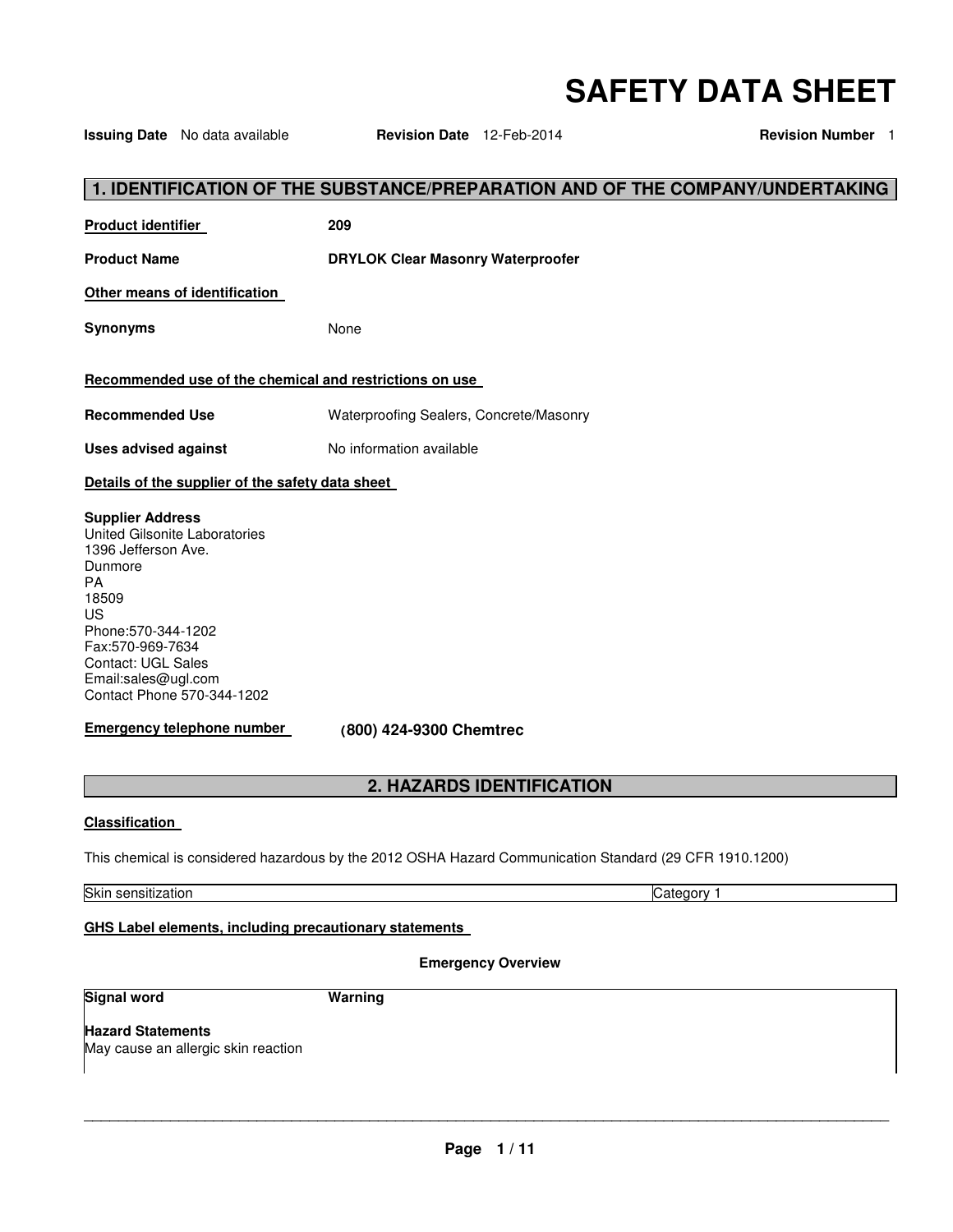# **SAFETY DATA SHEET**

**1. IDENTIFICATION OF THE SUBSTANCE/PREPARATION AND OF THE COMPANY/UNDERTAKING Product identifier 209 Product Name DRYLOK Clear Masonry Waterproofer Other means of identification Synonyms** None **Recommended use of the chemical and restrictions on use Recommended Use** Waterproofing Sealers, Concrete/Masonry **Uses advised against No information available Details of the supplier of the safety data sheet Supplier Address** United Gilsonite Laboratories 1396 Jefferson Ave. Dunmore PA 18509 US Phone:570-344-1202 Fax:570-969-7634 Contact: UGL Sales Email:sales@ugl.com Contact Phone 570-344-1202 **Emergency telephone number (800) 424-9300 Chemtrec 2. HAZARDS IDENTIFICATION Classification** 

This chemical is considered hazardous by the 2012 OSHA Hazard Communication Standard (29 CFR 1910.1200)

Skin sensitization Category 1

# **GHS Label elements, including precautionary statements**

# **Emergency Overview**

**Signal word Warning Warning** 

**Hazard Statements** May cause an allergic skin reaction

\_\_\_\_\_\_\_\_\_\_\_\_\_\_\_\_\_\_\_\_\_\_\_\_\_\_\_\_\_\_\_\_\_\_\_\_\_\_\_\_\_\_\_\_\_\_\_\_\_\_\_\_\_\_\_\_\_\_\_\_\_\_\_\_\_\_\_\_\_\_\_\_\_\_\_\_\_\_\_\_\_\_\_\_\_\_\_\_\_\_\_\_\_

**Issuing Date** No data available **Revision Date** 12-Feb-2014 **Revision Number** 1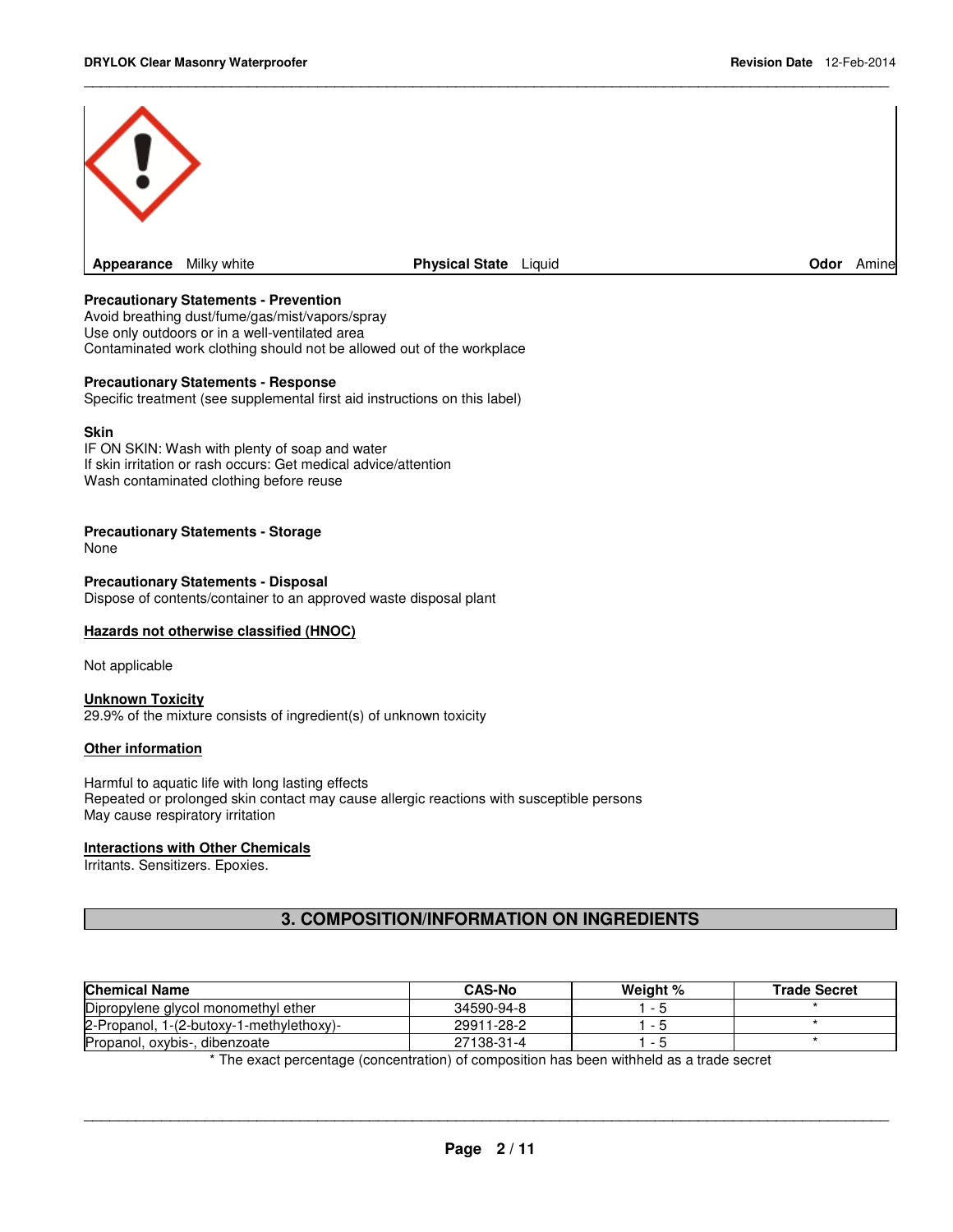

\_\_\_\_\_\_\_\_\_\_\_\_\_\_\_\_\_\_\_\_\_\_\_\_\_\_\_\_\_\_\_\_\_\_\_\_\_\_\_\_\_\_\_\_\_\_\_\_\_\_\_\_\_\_\_\_\_\_\_\_\_\_\_\_\_\_\_\_\_\_\_\_\_\_\_\_\_\_\_\_\_\_\_\_\_\_\_\_\_\_\_\_\_

#### **Precautionary Statements - Prevention**

Avoid breathing dust/fume/gas/mist/vapors/spray Use only outdoors or in a well-ventilated area Contaminated work clothing should not be allowed out of the workplace

#### **Precautionary Statements - Response**

Specific treatment (see supplemental first aid instructions on this label)

#### **Skin**

IF ON SKIN: Wash with plenty of soap and water If skin irritation or rash occurs: Get medical advice/attention Wash contaminated clothing before reuse

#### **Precautionary Statements - Storage**

None

#### **Precautionary Statements - Disposal** Dispose of contents/container to an approved waste disposal plant

#### **Hazards not otherwise classified (HNOC)**

Not applicable

#### **Unknown Toxicity**

29.9% of the mixture consists of ingredient(s) of unknown toxicity

#### **Other information**

Harmful to aquatic life with long lasting effects Repeated or prolonged skin contact may cause allergic reactions with susceptible persons May cause respiratory irritation

#### **Interactions with Other Chemicals**

Irritants. Sensitizers. Epoxies.

# **3. COMPOSITION/INFORMATION ON INGREDIENTS**

| <b>Chemical Name</b>                     | <b>CAS-No</b> | Weight % | <b>Trade Secret</b> |
|------------------------------------------|---------------|----------|---------------------|
| Dipropylene glycol monomethyl ether      | 34590-94-8    |          |                     |
| 2-Propanol, 1-(2-butoxy-1-methylethoxy)- | 29911-28-2    |          |                     |
| Propanol, oxybis-, dibenzoate            | 27138-31-4    |          |                     |

\* The exact percentage (concentration) of composition has been withheld as a trade secret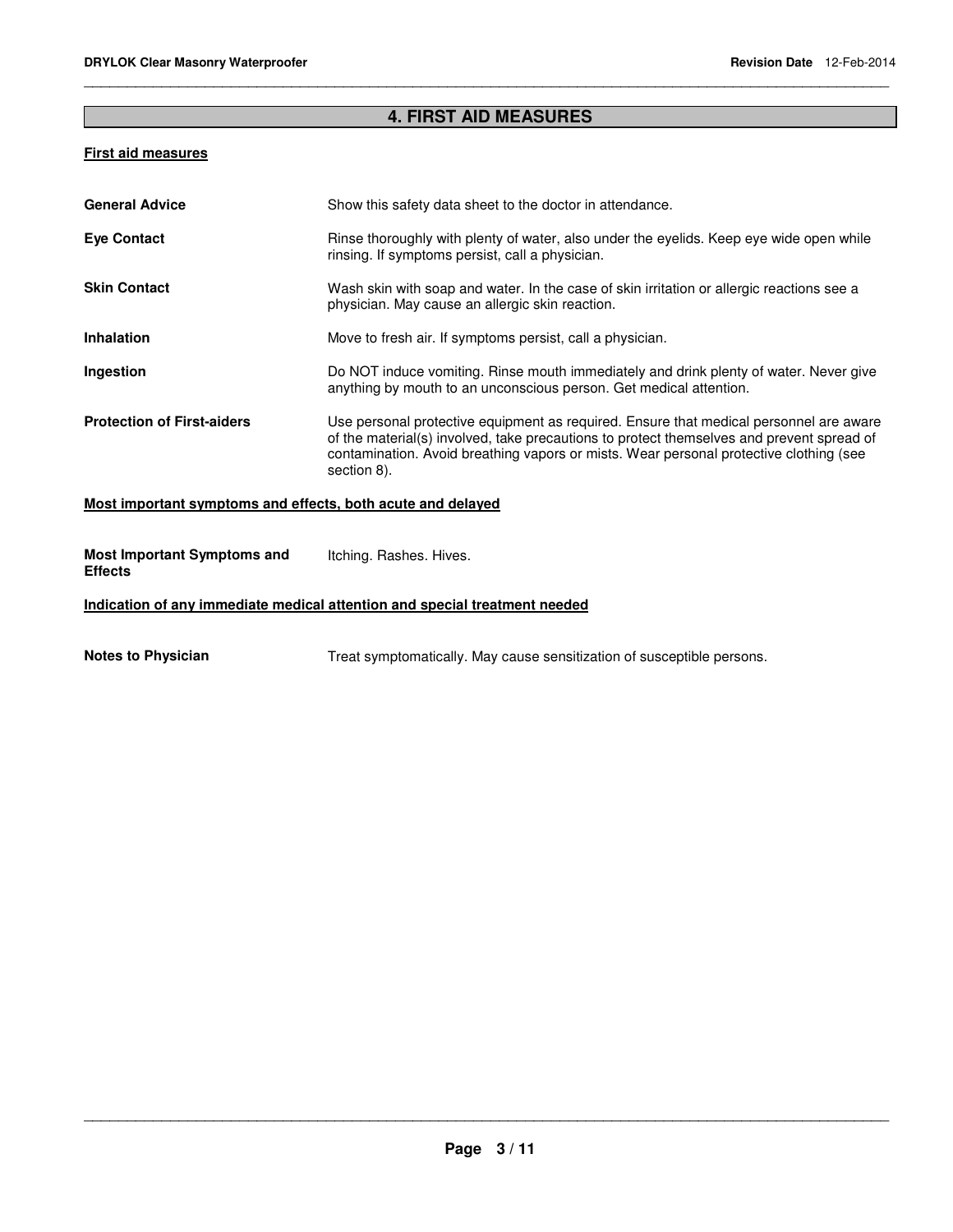# **4. FIRST AID MEASURES**

\_\_\_\_\_\_\_\_\_\_\_\_\_\_\_\_\_\_\_\_\_\_\_\_\_\_\_\_\_\_\_\_\_\_\_\_\_\_\_\_\_\_\_\_\_\_\_\_\_\_\_\_\_\_\_\_\_\_\_\_\_\_\_\_\_\_\_\_\_\_\_\_\_\_\_\_\_\_\_\_\_\_\_\_\_\_\_\_\_\_\_\_\_

# **First aid measures**

| <b>General Advice</b>                                       | Show this safety data sheet to the doctor in attendance.                                                                                                                                                                                                                                     |
|-------------------------------------------------------------|----------------------------------------------------------------------------------------------------------------------------------------------------------------------------------------------------------------------------------------------------------------------------------------------|
| <b>Eye Contact</b>                                          | Rinse thoroughly with plenty of water, also under the eyelids. Keep eye wide open while<br>rinsing. If symptoms persist, call a physician.                                                                                                                                                   |
| <b>Skin Contact</b>                                         | Wash skin with soap and water. In the case of skin irritation or allergic reactions see a<br>physician. May cause an allergic skin reaction.                                                                                                                                                 |
| <b>Inhalation</b>                                           | Move to fresh air. If symptoms persist, call a physician.                                                                                                                                                                                                                                    |
| Ingestion                                                   | Do NOT induce vomiting. Rinse mouth immediately and drink plenty of water. Never give<br>anything by mouth to an unconscious person. Get medical attention.                                                                                                                                  |
| <b>Protection of First-aiders</b>                           | Use personal protective equipment as required. Ensure that medical personnel are aware<br>of the material(s) involved, take precautions to protect themselves and prevent spread of<br>contamination. Avoid breathing vapors or mists. Wear personal protective clothing (see<br>section 8). |
| Most important symptoms and effects, both acute and delayed |                                                                                                                                                                                                                                                                                              |
| <b>Most Important Symptoms and</b><br><b>Effects</b>        | Itching. Rashes. Hives.                                                                                                                                                                                                                                                                      |

# **Indication of any immediate medical attention and special treatment needed**

Notes to Physician **Notes to Physician** Treat symptomatically. May cause sensitization of susceptible persons.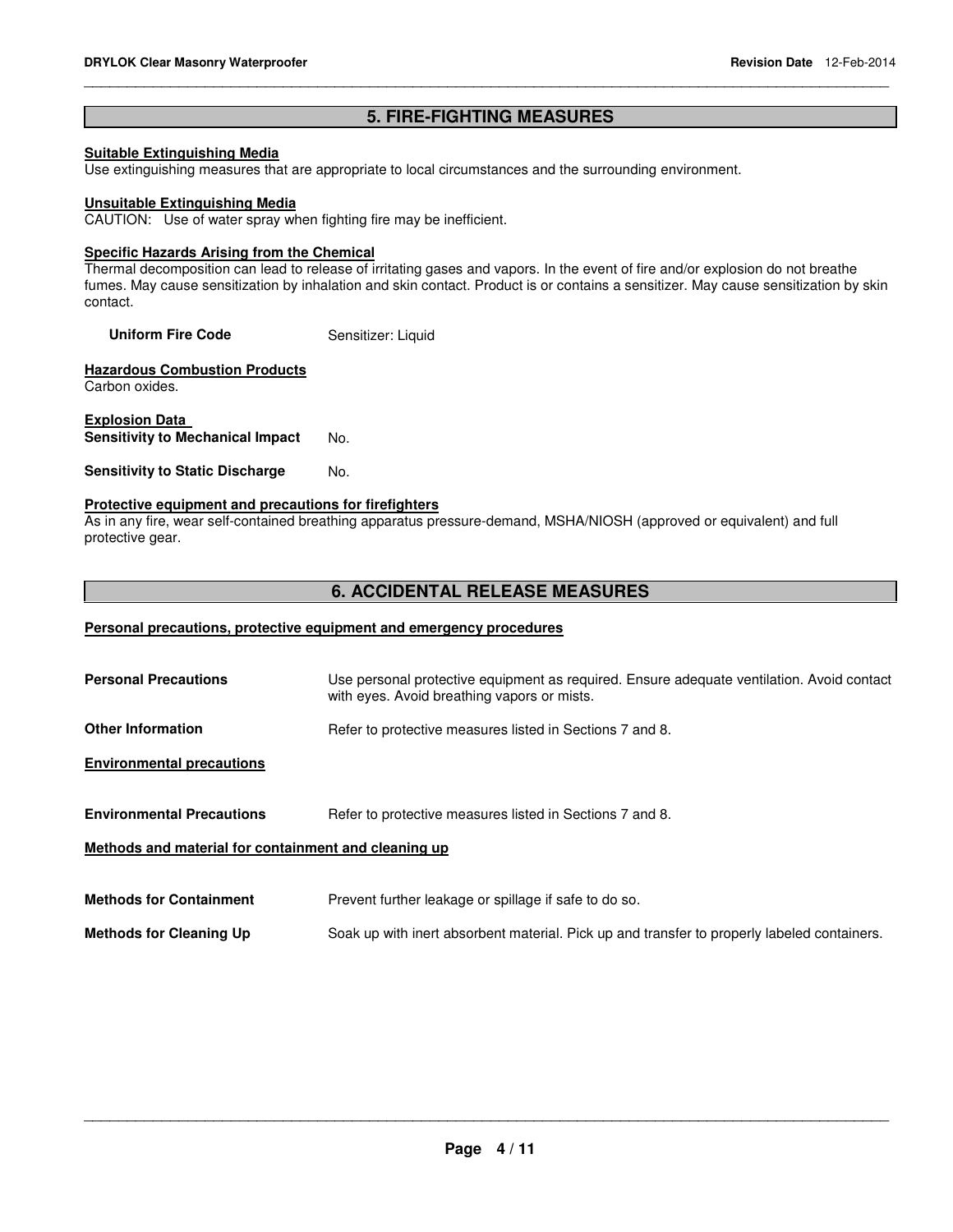# **5. FIRE-FIGHTING MEASURES Suitable Extinguishing Media** Use extinguishing measures that are appropriate to local circumstances and the surrounding environment. **Unsuitable Extinguishing Media** CAUTION: Use of water spray when fighting fire may be inefficient. **Specific Hazards Arising from the Chemical** Thermal decomposition can lead to release of irritating gases and vapors. In the event of fire and/or explosion do not breathe fumes. May cause sensitization by inhalation and skin contact. Product is or contains a sensitizer. May cause sensitization by skin contact. **Uniform Fire Code Sensitizer: Liquid Hazardous Combustion Products** Carbon oxides. **Explosion Data Sensitivity to Mechanical Impact** No. **Sensitivity to Static Discharge Mo. Protective equipment and precautions for firefighters** As in any fire, wear self-contained breathing apparatus pressure-demand, MSHA/NIOSH (approved or equivalent) and full protective gear. **6. ACCIDENTAL RELEASE MEASURES Personal precautions, protective equipment and emergency procedures Personal Precautions** Use personal protective equipment as required. Ensure adequate ventilation. Avoid contact with eyes. Avoid breathing vapors or mists. **Other Information Refer to protective measures listed in Sections 7 and 8. Environmental precautions Environmental Precautions Refer to protective measures listed in Sections 7 and 8. Methods and material for containment and cleaning up**

\_\_\_\_\_\_\_\_\_\_\_\_\_\_\_\_\_\_\_\_\_\_\_\_\_\_\_\_\_\_\_\_\_\_\_\_\_\_\_\_\_\_\_\_\_\_\_\_\_\_\_\_\_\_\_\_\_\_\_\_\_\_\_\_\_\_\_\_\_\_\_\_\_\_\_\_\_\_\_\_\_\_\_\_\_\_\_\_\_\_\_\_\_

**Methods for Containment** Prevent further leakage or spillage if safe to do so.

**Methods for Cleaning Up** Soak up with inert absorbent material. Pick up and transfer to properly labeled containers.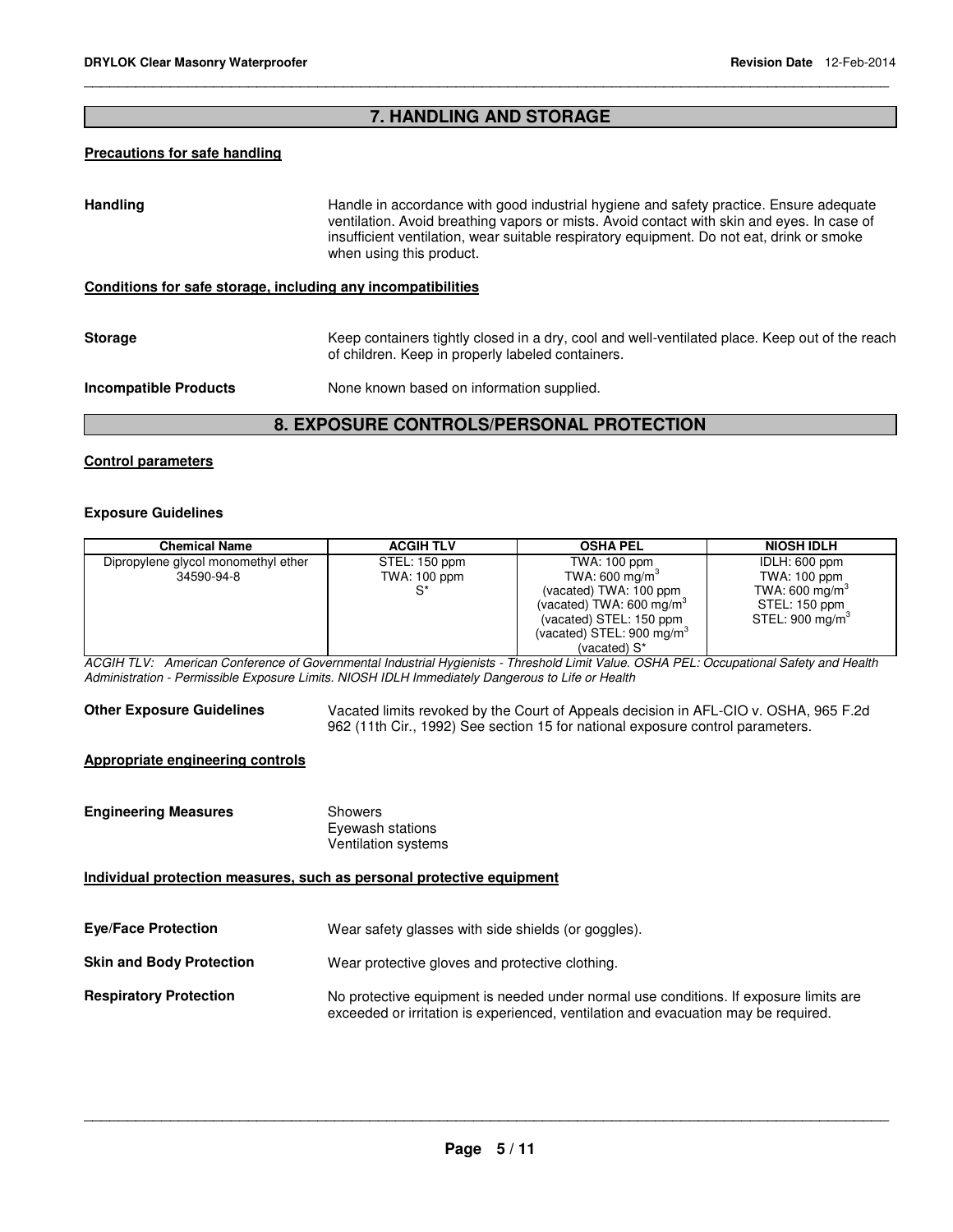# **7. HANDLING AND STORAGE**

\_\_\_\_\_\_\_\_\_\_\_\_\_\_\_\_\_\_\_\_\_\_\_\_\_\_\_\_\_\_\_\_\_\_\_\_\_\_\_\_\_\_\_\_\_\_\_\_\_\_\_\_\_\_\_\_\_\_\_\_\_\_\_\_\_\_\_\_\_\_\_\_\_\_\_\_\_\_\_\_\_\_\_\_\_\_\_\_\_\_\_\_\_

# **Precautions for safe handling**

| <b>Handling</b>                                 | Handle in accordance with good industrial hygiene and safety practice. Ensure adequate<br>ventilation. Avoid breathing vapors or mists. Avoid contact with skin and eyes. In case of<br>insufficient ventilation, wear suitable respiratory equipment. Do not eat, drink or smoke<br>when using this product. |
|-------------------------------------------------|---------------------------------------------------------------------------------------------------------------------------------------------------------------------------------------------------------------------------------------------------------------------------------------------------------------|
|                                                 | Conditions for safe storage, including any incompatibilities                                                                                                                                                                                                                                                  |
| <b>Storage</b>                                  | Keep containers tightly closed in a dry, cool and well-ventilated place. Keep out of the reach<br>of children. Keep in properly labeled containers.                                                                                                                                                           |
| Incompatible Products                           | None known based on information supplied.                                                                                                                                                                                                                                                                     |
| <b>8. EXPOSURE CONTROLS/PERSONAL PROTECTION</b> |                                                                                                                                                                                                                                                                                                               |

#### **Control parameters**

#### **Exposure Guidelines**

| <b>Chemical Name</b>                | <b>ACGIH TLV</b> | <b>OSHA PEL</b>                      | <b>NIOSH IDLH</b>           |
|-------------------------------------|------------------|--------------------------------------|-----------------------------|
| Dipropylene glycol monomethyl ether | STEL: 150 ppm    | TWA: 100 ppm                         | IDLH: 600 ppm               |
| 34590-94-8                          | TWA: 100 ppm     | TWA: 600 mg/m <sup>3</sup>           | TWA: 100 ppm                |
|                                     |                  | (vacated) TWA: 100 ppm               | TWA: 600 mg/m <sup>3</sup>  |
|                                     |                  | (vacated) TWA: 600 mg/m <sup>3</sup> | STEL: 150 ppm               |
|                                     |                  | (vacated) STEL: 150 ppm              | STEL: 900 mg/m <sup>3</sup> |
|                                     |                  | (vacated) STEL: $900 \text{ mg/m}^3$ |                             |
|                                     |                  | (vacated) S*                         |                             |

ACGIH TLV: American Conference of Governmental Industrial Hygienists - Threshold Limit Value. OSHA PEL: Occupational Safety and Health Administration - Permissible Exposure Limits. NIOSH IDLH Immediately Dangerous to Life or Health

**Other Exposure Guidelines** Vacated limits revoked by the Court of Appeals decision in AFL-CIO v. OSHA, 965 F.2d 962 (11th Cir., 1992) See section 15 for national exposure control parameters.

#### **Appropriate engineering controls**

| <b>Engineering Measures</b>                                           | <b>Showers</b><br>Eyewash stations<br><b>Ventilation systems</b>                                                                                                            |
|-----------------------------------------------------------------------|-----------------------------------------------------------------------------------------------------------------------------------------------------------------------------|
| Individual protection measures, such as personal protective equipment |                                                                                                                                                                             |
| <b>Eye/Face Protection</b>                                            | Wear safety glasses with side shields (or goggles).                                                                                                                         |
| <b>Skin and Body Protection</b>                                       | Wear protective gloves and protective clothing.                                                                                                                             |
| <b>Respiratory Protection</b>                                         | No protective equipment is needed under normal use conditions. If exposure limits are<br>exceeded or irritation is experienced, ventilation and evacuation may be required. |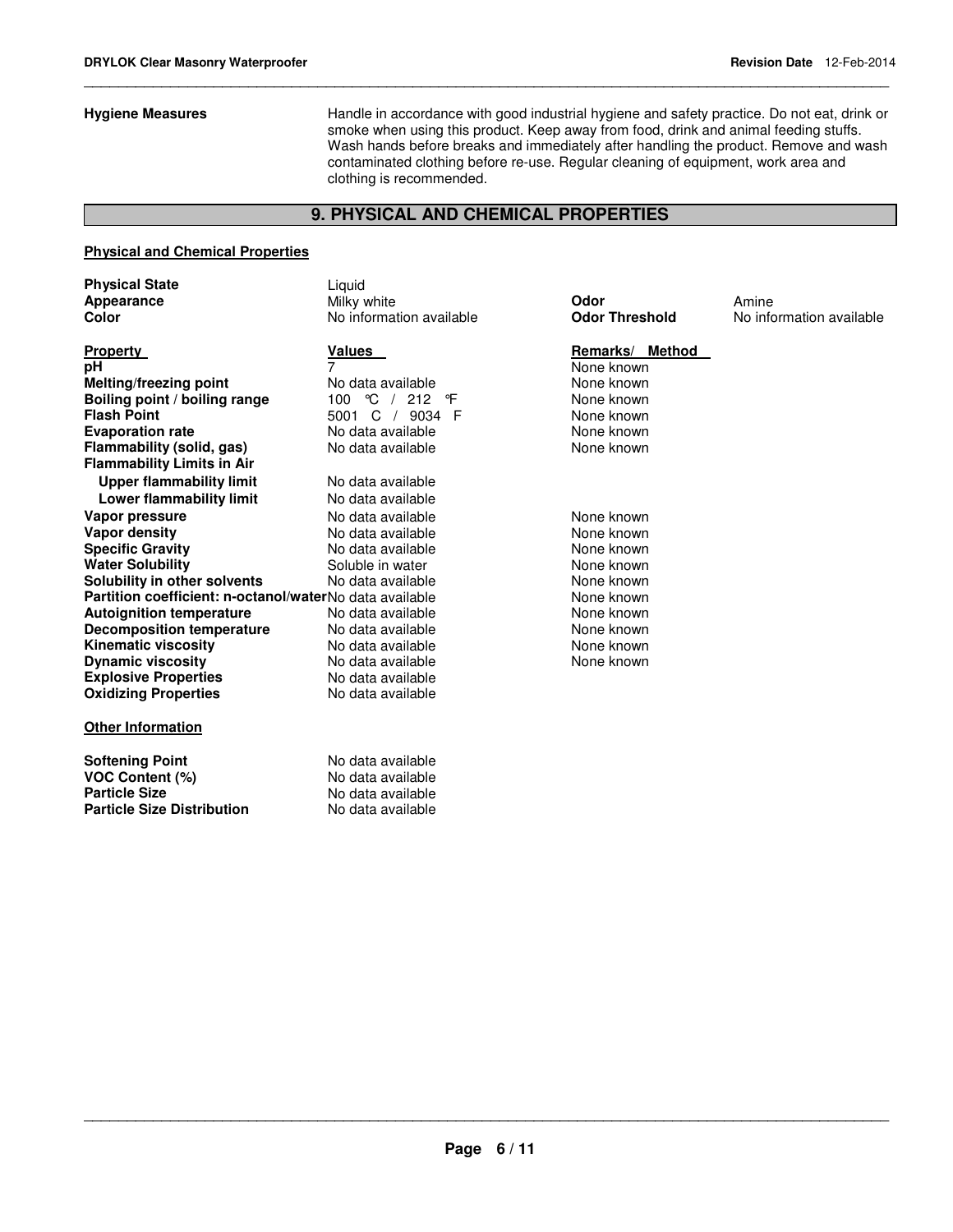**Hygiene Measures** Handle in accordance with good industrial hygiene and safety practice. Do not eat, drink or smoke when using this product. Keep away from food, drink and animal feeding stuffs. Wash hands before breaks and immediately after handling the product. Remove and wash contaminated clothing before re-use. Regular cleaning of equipment, work area and clothing is recommended.

### **9. PHYSICAL AND CHEMICAL PROPERTIES**

\_\_\_\_\_\_\_\_\_\_\_\_\_\_\_\_\_\_\_\_\_\_\_\_\_\_\_\_\_\_\_\_\_\_\_\_\_\_\_\_\_\_\_\_\_\_\_\_\_\_\_\_\_\_\_\_\_\_\_\_\_\_\_\_\_\_\_\_\_\_\_\_\_\_\_\_\_\_\_\_\_\_\_\_\_\_\_\_\_\_\_\_\_

#### **Physical and Chemical Properties**

| <b>Physical State</b> |  |
|-----------------------|--|
| Appearance            |  |
| Color                 |  |

**Property**<br> **Property**<br> **PH**<br> **PH**<br> **PH**<br> **PH**<br> **PH**<br> **PH**<br> **Remarks/ Method**<br> **PH Melting/freezing point Boiling point / boiling range**  $100 \text{ °C}$  / 212 °F None known<br> **Flash Point C** 19034 F None known **Evaporation rate No data available None known**<br> **Elammability (solid. gas)** No data available **None known** None known **Flammability (solid, gas) Flammability Limits in Air Upper flammability limit** No data available **Lower flammability limit** No data available **Vapor pressure No data available None known Vapor density** No data available None known **Water Solubility** Soluble in water None known **Solubility in other solvents** No data available **None known**<br> **Partition coefficient: n-octanol/water** No data available **None known**<br>
None known **Partition coefficient: n-octanol/water No data available**  $\begin{array}{ccc} \text{控} & \text{None} & \text{None} \\ \text{Aution} & \text{Home} & \text{None} & \text{None} \\ \end{array}$ **Autoignition temperature Decomposition temperature** No data available **None known** None known **Kinematic viscosity No data available None known Dynamic viscosity**<br> **Explosive Properties**<br>
No data available<br>
No data available **Explosive Properties No data available**<br> **Oxidizing Properties No data available Oxidizing Properties** 

#### **Other Information**

| Softening Point            | No data available |
|----------------------------|-------------------|
| VOC Content (%)            | No data available |
| Particle Size              | No data available |
| Particle Size Distribution | No data available |

Liquid **Appearance** Milky white **Odor** Amine **Color** No information available **Odor Threshold** No information available

**Phone known**<br> **pH PH 2** None known<br> **pHP** None known **FRASH POINT POINT POINT AT A FIRAL POINT POINT POINT A** None known<br> **FRASH POINT A None known**<br> **FRASH POINT A FIRAL POINT A FIRAL POINT A FIRAL POINT A FIRAL POINT A FIRAL POINT A FIRAL POINT A FIRAL POINT** 

**No data available None known**<br>Soluble in water None known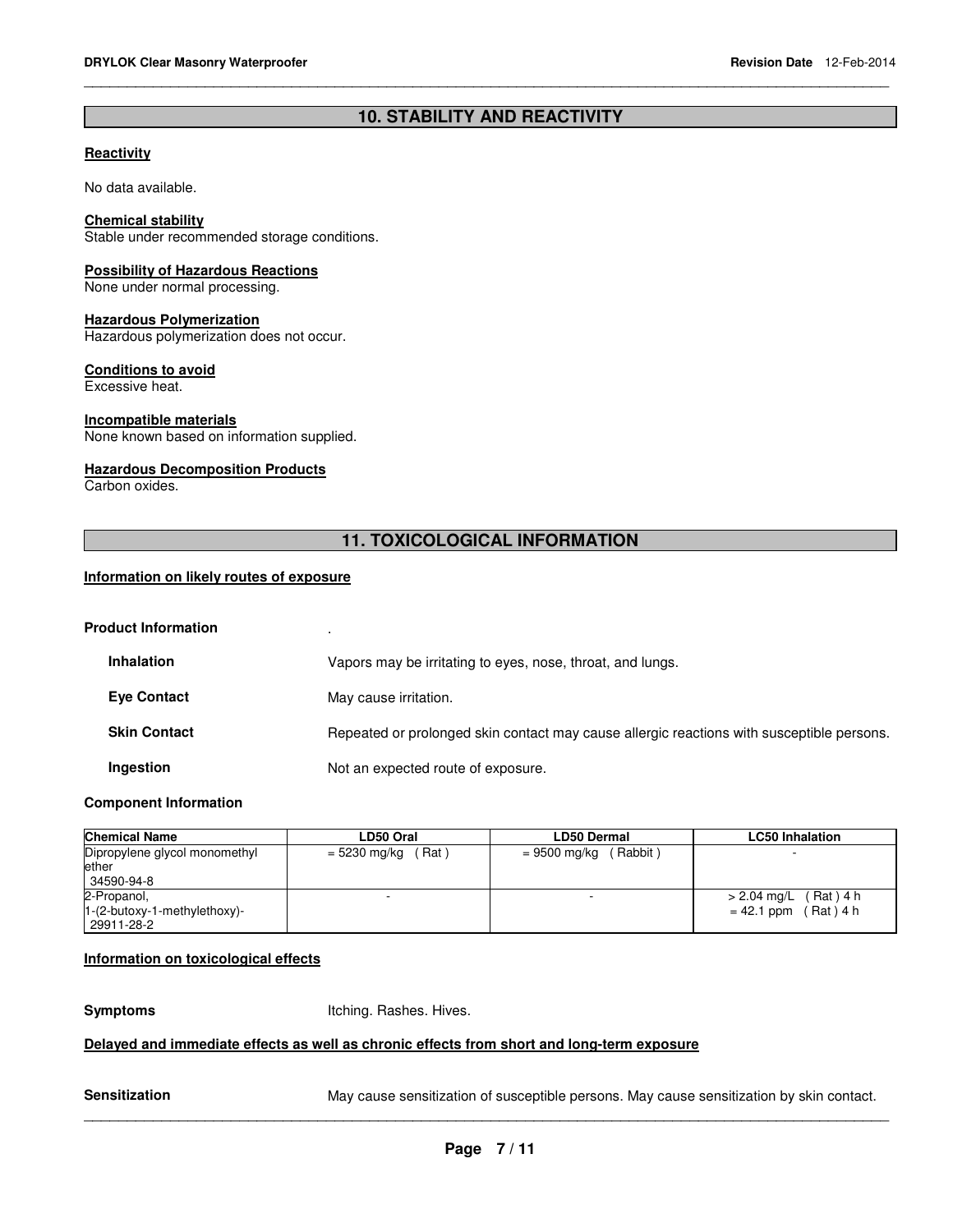# **10. STABILITY AND REACTIVITY**

\_\_\_\_\_\_\_\_\_\_\_\_\_\_\_\_\_\_\_\_\_\_\_\_\_\_\_\_\_\_\_\_\_\_\_\_\_\_\_\_\_\_\_\_\_\_\_\_\_\_\_\_\_\_\_\_\_\_\_\_\_\_\_\_\_\_\_\_\_\_\_\_\_\_\_\_\_\_\_\_\_\_\_\_\_\_\_\_\_\_\_\_\_

#### **Reactivity**

No data available.

#### **Chemical stability**

Stable under recommended storage conditions.

#### **Possibility of Hazardous Reactions**

None under normal processing.

#### **Hazardous Polymerization**

Hazardous polymerization does not occur.

#### **Conditions to avoid**

Excessive heat.

#### **Incompatible materials**

None known based on information supplied.

#### **Hazardous Decomposition Products**

Carbon oxides.

# **11. TOXICOLOGICAL INFORMATION**

#### **Information on likely routes of exposure**

#### **Product Information** .

| <b>Inhalation</b>   | Vapors may be irritating to eyes, nose, throat, and lungs.                                |
|---------------------|-------------------------------------------------------------------------------------------|
| Eye Contact         | May cause irritation.                                                                     |
| <b>Skin Contact</b> | Repeated or prolonged skin contact may cause allergic reactions with susceptible persons. |
| Ingestion           | Not an expected route of exposure.                                                        |

#### **Component Information**

| <b>Chemical Name</b>                                        | LD50 Oral             | <b>LD50 Dermal</b>      | <b>LC50 Inhalation</b>                            |
|-------------------------------------------------------------|-----------------------|-------------------------|---------------------------------------------------|
| Dipropylene glycol monomethyl<br>ether<br>34590-94-8        | (Rat)<br>= 5230 mg/kg | $= 9500$ mg/kg (Rabbit) | -                                                 |
| 2-Propanol,<br>$1-(2-butoxy-1-methylethoxy)-$<br>29911-28-2 |                       |                         | $> 2.04$ mg/L (Rat) 4 h<br>$= 42.1$ ppm (Rat) 4 h |

#### **Information on toxicological effects**

**Symptoms Itching. Rashes. Hives.** 

### **Delayed and immediate effects as well as chronic effects from short and long-term exposure**

Sensitization **May cause sensitization of susceptible persons**. May cause sensitization by skin contact.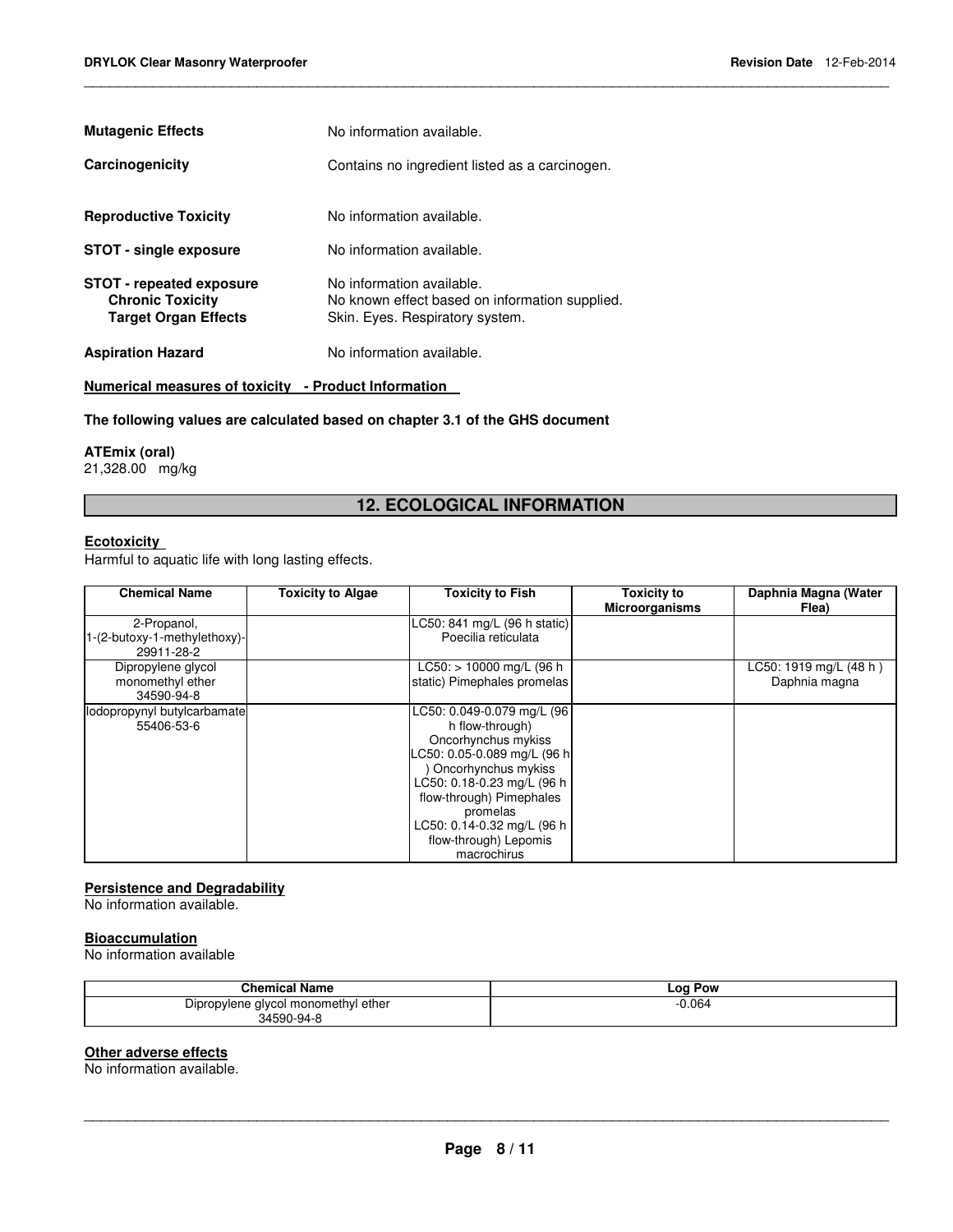| <b>Mutagenic Effects</b>                                                           | No information available.                                                                                      |
|------------------------------------------------------------------------------------|----------------------------------------------------------------------------------------------------------------|
| Carcinogenicity                                                                    | Contains no ingredient listed as a carcinogen.                                                                 |
| <b>Reproductive Toxicity</b>                                                       | No information available.                                                                                      |
| <b>STOT - single exposure</b>                                                      | No information available.                                                                                      |
| STOT - repeated exposure<br><b>Chronic Toxicity</b><br><b>Target Organ Effects</b> | No information available.<br>No known effect based on information supplied.<br>Skin. Eyes. Respiratory system. |
| <b>Aspiration Hazard</b>                                                           | No information available.                                                                                      |
| Numerical measures of toxicity - Product Information                               |                                                                                                                |

#### **The following values are calculated based on chapter 3.1 of the GHS document**

# **ATEmix (oral)**

21,328.00 mg/kg

# **12. ECOLOGICAL INFORMATION**

\_\_\_\_\_\_\_\_\_\_\_\_\_\_\_\_\_\_\_\_\_\_\_\_\_\_\_\_\_\_\_\_\_\_\_\_\_\_\_\_\_\_\_\_\_\_\_\_\_\_\_\_\_\_\_\_\_\_\_\_\_\_\_\_\_\_\_\_\_\_\_\_\_\_\_\_\_\_\_\_\_\_\_\_\_\_\_\_\_\_\_\_\_

### **Ecotoxicity**

Harmful to aquatic life with long lasting effects.

| <b>Chemical Name</b>                                      | <b>Toxicity to Algae</b> | <b>Toxicity to Fish</b>                                                                                                                                                                                                                                                | <b>Toxicity to</b><br><b>Microorganisms</b> | Daphnia Magna (Water<br>Flea)             |
|-----------------------------------------------------------|--------------------------|------------------------------------------------------------------------------------------------------------------------------------------------------------------------------------------------------------------------------------------------------------------------|---------------------------------------------|-------------------------------------------|
| 2-Propanol,<br>1-(2-butoxy-1-methylethoxy)-<br>29911-28-2 |                          | LC50: 841 mg/L (96 h static)<br>Poecilia reticulata                                                                                                                                                                                                                    |                                             |                                           |
| Dipropylene glycol<br>monomethyl ether<br>34590-94-8      |                          | $LC50:$ > 10000 mg/L (96 h)<br>static) Pimephales promelas                                                                                                                                                                                                             |                                             | $LC50: 1919$ mg/L (48 h)<br>Daphnia magna |
| lodopropynyl butylcarbamate<br>55406-53-6                 |                          | LC50: 0.049-0.079 mg/L (96<br>h flow-through)<br>Oncorhynchus mykiss<br>LC50: 0.05-0.089 mg/L (96 h<br>Oncorhynchus mykiss<br>LC50: 0.18-0.23 mg/L (96 h<br>flow-through) Pimephales<br>promelas<br>LC50: 0.14-0.32 mg/L (96 h<br>flow-through) Lepomis<br>macrochirus |                                             |                                           |

### **Persistence and Degradability**

No information available.

#### **Bioaccumulation**

No information available

| <b>Chemical Name</b>                                                  | $-0c$<br>Pow |
|-----------------------------------------------------------------------|--------------|
| -<br>ether<br>Dipropylene glycol monomethyl o<br>$\sim$<br>34590-94-6 | 0.064        |

#### **Other adverse effects**

No information available.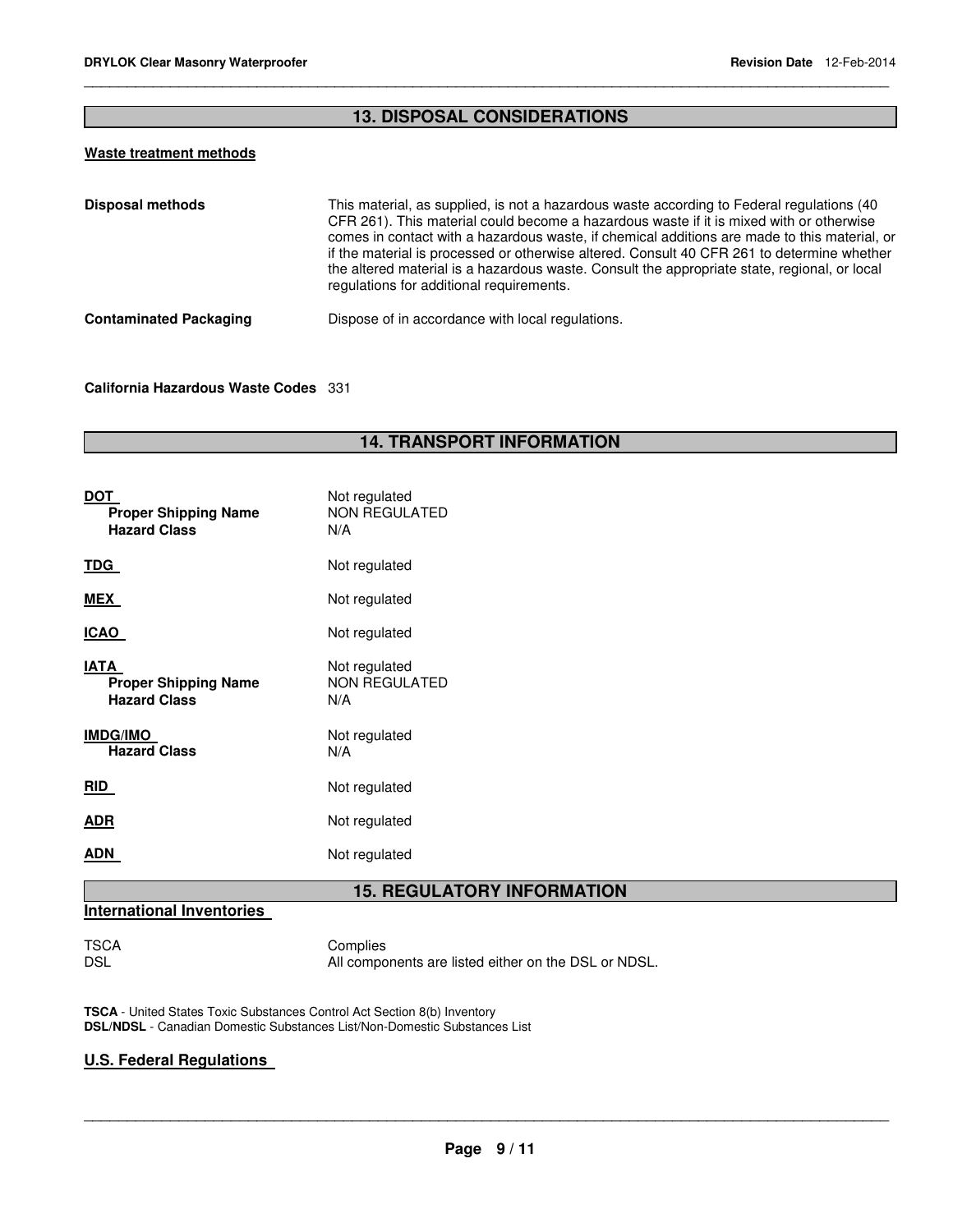# **13. DISPOSAL CONSIDERATIONS**

\_\_\_\_\_\_\_\_\_\_\_\_\_\_\_\_\_\_\_\_\_\_\_\_\_\_\_\_\_\_\_\_\_\_\_\_\_\_\_\_\_\_\_\_\_\_\_\_\_\_\_\_\_\_\_\_\_\_\_\_\_\_\_\_\_\_\_\_\_\_\_\_\_\_\_\_\_\_\_\_\_\_\_\_\_\_\_\_\_\_\_\_\_

# **Waste treatment methods**

| Disposal methods              | This material, as supplied, is not a hazardous waste according to Federal regulations (40<br>CFR 261). This material could become a hazardous waste if it is mixed with or otherwise<br>comes in contact with a hazardous waste, if chemical additions are made to this material, or<br>if the material is processed or otherwise altered. Consult 40 CFR 261 to determine whether<br>the altered material is a hazardous waste. Consult the appropriate state, regional, or local<br>regulations for additional requirements. |
|-------------------------------|--------------------------------------------------------------------------------------------------------------------------------------------------------------------------------------------------------------------------------------------------------------------------------------------------------------------------------------------------------------------------------------------------------------------------------------------------------------------------------------------------------------------------------|
| <b>Contaminated Packaging</b> | Dispose of in accordance with local regulations.                                                                                                                                                                                                                                                                                                                                                                                                                                                                               |

### **California Hazardous Waste Codes** 331

# **14. TRANSPORT INFORMATION**

| DOT<br><b>Proper Shipping Name</b><br><b>Hazard Class</b>  | Not regulated<br><b>NON REGULATED</b><br>N/A |
|------------------------------------------------------------|----------------------------------------------|
| TDG                                                        | Not regulated                                |
| MEX                                                        | Not regulated                                |
| ICAO                                                       | Not regulated                                |
| IATA<br><b>Proper Shipping Name</b><br><b>Hazard Class</b> | Not regulated<br><b>NON REGULATED</b><br>N/A |
| <b>IMDG/IMO</b><br><b>Hazard Class</b>                     | Not regulated<br>N/A                         |
| RID                                                        | Not regulated                                |
| ADR                                                        | Not regulated                                |
| ADN                                                        | Not regulated                                |

# **15. REGULATORY INFORMATION**

# **International Inventories**

TSCA Complies<br>DSL Mill compo All components are listed either on the DSL or NDSL.

**TSCA** - United States Toxic Substances Control Act Section 8(b) Inventory **DSL/NDSL** - Canadian Domestic Substances List/Non-Domestic Substances List

# **U.S. Federal Regulations**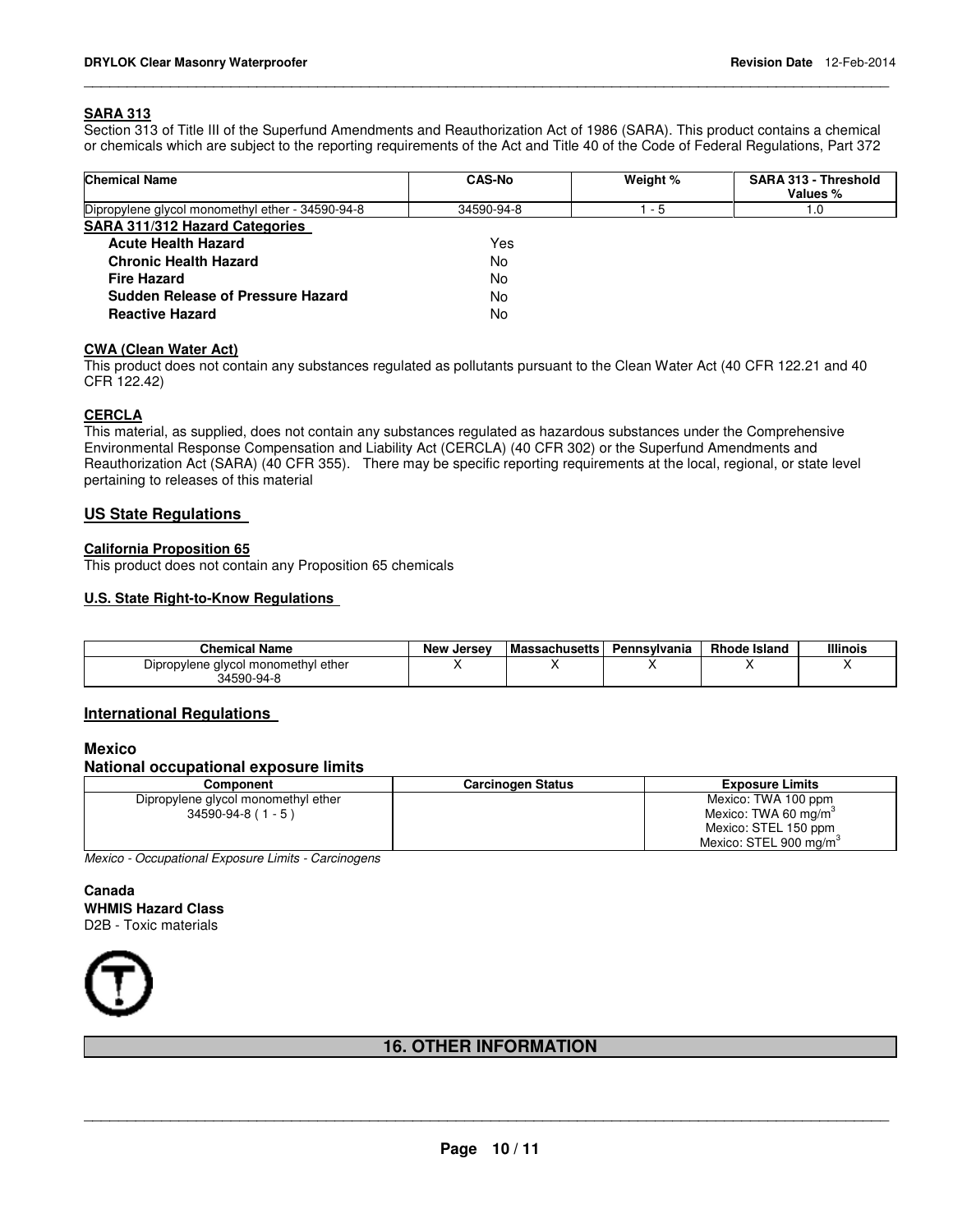#### **SARA 313**

Section 313 of Title III of the Superfund Amendments and Reauthorization Act of 1986 (SARA). This product contains a chemical or chemicals which are subject to the reporting requirements of the Act and Title 40 of the Code of Federal Regulations, Part 372

\_\_\_\_\_\_\_\_\_\_\_\_\_\_\_\_\_\_\_\_\_\_\_\_\_\_\_\_\_\_\_\_\_\_\_\_\_\_\_\_\_\_\_\_\_\_\_\_\_\_\_\_\_\_\_\_\_\_\_\_\_\_\_\_\_\_\_\_\_\_\_\_\_\_\_\_\_\_\_\_\_\_\_\_\_\_\_\_\_\_\_\_\_

| <b>Chemical Name</b>                             | <b>CAS-No</b> | Weight % | SARA 313 - Threshold<br>Values % |
|--------------------------------------------------|---------------|----------|----------------------------------|
| Dipropylene glycol monomethyl ether - 34590-94-8 | 34590-94-8    | - 5      | 1.0                              |
| <b>SARA 311/312 Hazard Categories</b>            |               |          |                                  |
| <b>Acute Health Hazard</b>                       | Yes           |          |                                  |
| <b>Chronic Health Hazard</b>                     | No            |          |                                  |
| <b>Fire Hazard</b>                               | No            |          |                                  |
| Sudden Release of Pressure Hazard                | No            |          |                                  |
| <b>Reactive Hazard</b>                           | No            |          |                                  |

#### **CWA (Clean Water Act)**

This product does not contain any substances regulated as pollutants pursuant to the Clean Water Act (40 CFR 122.21 and 40 CFR 122.42)

#### **CERCLA**

This material, as supplied, does not contain any substances regulated as hazardous substances under the Comprehensive Environmental Response Compensation and Liability Act (CERCLA) (40 CFR 302) or the Superfund Amendments and Reauthorization Act (SARA) (40 CFR 355). There may be specific reporting requirements at the local, regional, or state level pertaining to releases of this material

#### **US State Regulations**

#### **California Proposition 65**

This product does not contain any Proposition 65 chemicals

#### **U.S. State Right-to-Know Regulations**

| <b>Chemical Name</b>                              | <b>New Jersey</b> | <b>Massachusetts</b> | Pennsvlvania | <b>Rhode Island</b> | <b>Illinois</b> |
|---------------------------------------------------|-------------------|----------------------|--------------|---------------------|-----------------|
| Dipropylene glycol monomethyl ether<br>34590-94-8 |                   |                      |              |                     |                 |

#### **International Regulations**

### **Mexico**

**National occupational exposure limits** 

| Component                           | <b>Carcinogen Status</b> | <b>Exposure Limits</b>             |  |
|-------------------------------------|--------------------------|------------------------------------|--|
| Dipropylene glycol monomethyl ether |                          | Mexico: TWA 100 ppm                |  |
| $34590 - 94 - 8 (1 - 5)$            |                          | Mexico: TWA 60 mg/m <sup>3</sup>   |  |
|                                     |                          | Mexico: STEL 150 ppm               |  |
|                                     |                          | Mexico: STEL 900 mg/m <sup>3</sup> |  |

Mexico - Occupational Exposure Limits - Carcinogens

#### **Canada WHMIS Hazard Class** D2B - Toxic materials



# **16. OTHER INFORMATION**